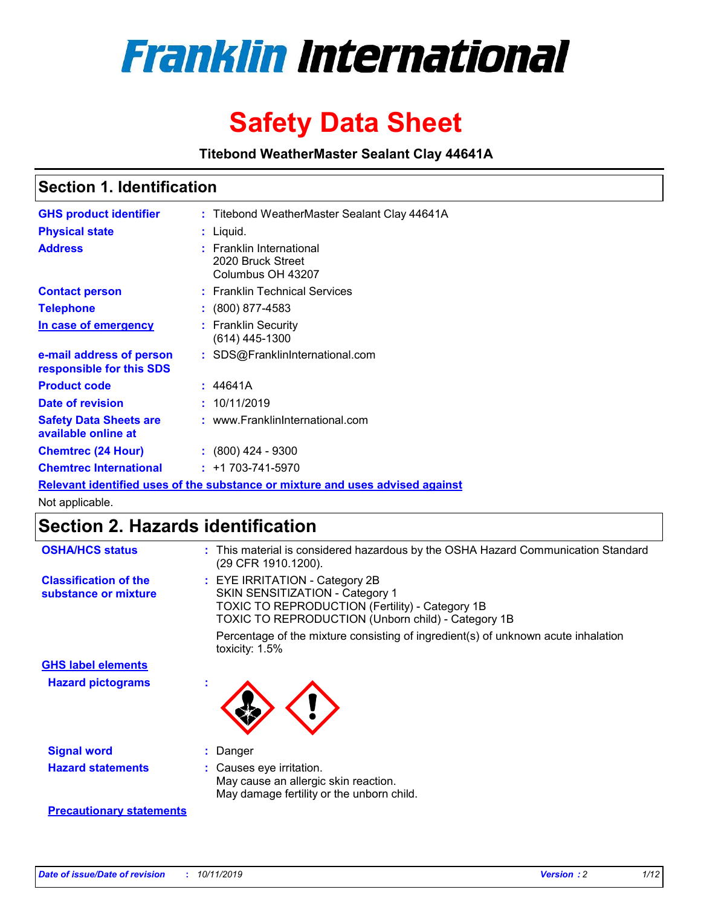

# **Safety Data Sheet**

**Titebond WeatherMaster Sealant Clay 44641A**

### **Section 1. Identification**

| <b>GHS product identifier</b>                        | : Titebond WeatherMaster Sealant Clay 44641A                                  |
|------------------------------------------------------|-------------------------------------------------------------------------------|
| <b>Physical state</b>                                | : Liquid.                                                                     |
| <b>Address</b>                                       | : Franklin International<br>2020 Bruck Street<br>Columbus OH 43207            |
| <b>Contact person</b>                                | : Franklin Technical Services                                                 |
| <b>Telephone</b>                                     | $\colon$ (800) 877-4583                                                       |
| In case of emergency                                 | : Franklin Security<br>(614) 445-1300                                         |
| e-mail address of person<br>responsible for this SDS | : SDS@FranklinInternational.com                                               |
| <b>Product code</b>                                  | : 44641A                                                                      |
| Date of revision                                     | : 10/11/2019                                                                  |
| <b>Safety Data Sheets are</b><br>available online at | : www.FranklinInternational.com                                               |
| <b>Chemtrec (24 Hour)</b>                            | $\div$ (800) 424 - 9300                                                       |
| <b>Chemtrec International</b>                        | $: +1703 - 741 - 5970$                                                        |
|                                                      | Relevant identified uses of the substance or mixture and uses advised against |

Not applicable.

## **Section 2. Hazards identification**

| <b>OSHA/HCS status</b>                               | : This material is considered hazardous by the OSHA Hazard Communication Standard<br>(29 CFR 1910.1200).                                                                          |
|------------------------------------------------------|-----------------------------------------------------------------------------------------------------------------------------------------------------------------------------------|
| <b>Classification of the</b><br>substance or mixture | : EYE IRRITATION - Category 2B<br>SKIN SENSITIZATION - Category 1<br><b>TOXIC TO REPRODUCTION (Fertility) - Category 1B</b><br>TOXIC TO REPRODUCTION (Unborn child) - Category 1B |
|                                                      | Percentage of the mixture consisting of ingredient(s) of unknown acute inhalation<br>toxicity: $1.5\%$                                                                            |
| <b>GHS label elements</b>                            |                                                                                                                                                                                   |
| <b>Hazard pictograms</b>                             |                                                                                                                                                                                   |
| <b>Signal word</b>                                   | : Danger                                                                                                                                                                          |
| <b>Hazard statements</b>                             | : Causes eye irritation.<br>May cause an allergic skin reaction.<br>May damage fertility or the unborn child.                                                                     |
| <b>Precautionary statements</b>                      |                                                                                                                                                                                   |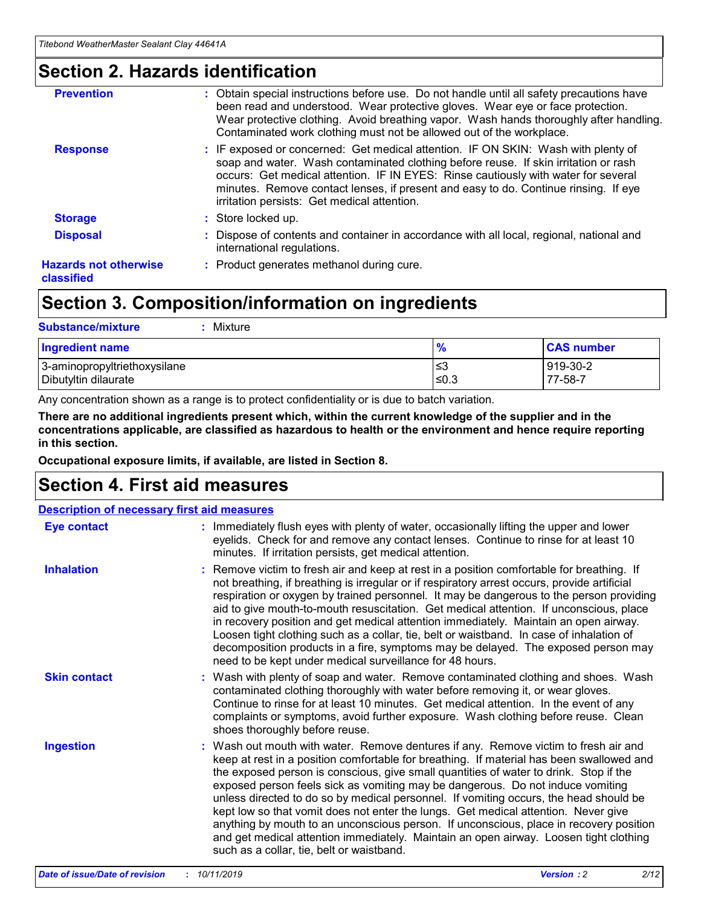### **Section 2. Hazards identification**

| <b>Prevention</b>                          | : Obtain special instructions before use. Do not handle until all safety precautions have<br>been read and understood. Wear protective gloves. Wear eye or face protection.<br>Wear protective clothing. Avoid breathing vapor. Wash hands thoroughly after handling.<br>Contaminated work clothing must not be allowed out of the workplace.                                                        |
|--------------------------------------------|------------------------------------------------------------------------------------------------------------------------------------------------------------------------------------------------------------------------------------------------------------------------------------------------------------------------------------------------------------------------------------------------------|
| <b>Response</b>                            | : IF exposed or concerned: Get medical attention. IF ON SKIN: Wash with plenty of<br>soap and water. Wash contaminated clothing before reuse. If skin irritation or rash<br>occurs: Get medical attention. IF IN EYES: Rinse cautiously with water for several<br>minutes. Remove contact lenses, if present and easy to do. Continue rinsing. If eye<br>irritation persists: Get medical attention. |
| <b>Storage</b>                             | : Store locked up.                                                                                                                                                                                                                                                                                                                                                                                   |
| <b>Disposal</b>                            | : Dispose of contents and container in accordance with all local, regional, national and<br>international regulations.                                                                                                                                                                                                                                                                               |
| <b>Hazards not otherwise</b><br>classified | : Product generates methanol during cure.                                                                                                                                                                                                                                                                                                                                                            |
|                                            |                                                                                                                                                                                                                                                                                                                                                                                                      |

### **Section 3. Composition/information on ingredients**

| <b>Substance/mixture</b><br>Mixture                  |                   |                     |
|------------------------------------------------------|-------------------|---------------------|
| Ingredient name                                      | $\frac{9}{6}$     | <b>CAS number</b>   |
| 3-aminopropyltriethoxysilane<br>Dibutyltin dilaurate | l≤3<br>$\leq 0.3$ | 919-30-2<br>77-58-7 |

Any concentration shown as a range is to protect confidentiality or is due to batch variation.

**There are no additional ingredients present which, within the current knowledge of the supplier and in the concentrations applicable, are classified as hazardous to health or the environment and hence require reporting in this section.**

**Occupational exposure limits, if available, are listed in Section 8.**

### **Section 4. First aid measures**

| <b>Description of necessary first aid measures</b> |                                                                                                                                                                                                                                                                                                                                                                                                                                                                                                                                                                                                                                                                                                                                                                           |  |  |  |
|----------------------------------------------------|---------------------------------------------------------------------------------------------------------------------------------------------------------------------------------------------------------------------------------------------------------------------------------------------------------------------------------------------------------------------------------------------------------------------------------------------------------------------------------------------------------------------------------------------------------------------------------------------------------------------------------------------------------------------------------------------------------------------------------------------------------------------------|--|--|--|
| <b>Eye contact</b>                                 | : Immediately flush eyes with plenty of water, occasionally lifting the upper and lower<br>eyelids. Check for and remove any contact lenses. Continue to rinse for at least 10<br>minutes. If irritation persists, get medical attention.                                                                                                                                                                                                                                                                                                                                                                                                                                                                                                                                 |  |  |  |
| <b>Inhalation</b>                                  | : Remove victim to fresh air and keep at rest in a position comfortable for breathing. If<br>not breathing, if breathing is irregular or if respiratory arrest occurs, provide artificial<br>respiration or oxygen by trained personnel. It may be dangerous to the person providing<br>aid to give mouth-to-mouth resuscitation. Get medical attention. If unconscious, place<br>in recovery position and get medical attention immediately. Maintain an open airway.<br>Loosen tight clothing such as a collar, tie, belt or waistband. In case of inhalation of<br>decomposition products in a fire, symptoms may be delayed. The exposed person may<br>need to be kept under medical surveillance for 48 hours.                                                       |  |  |  |
| <b>Skin contact</b>                                | : Wash with plenty of soap and water. Remove contaminated clothing and shoes. Wash<br>contaminated clothing thoroughly with water before removing it, or wear gloves.<br>Continue to rinse for at least 10 minutes. Get medical attention. In the event of any<br>complaints or symptoms, avoid further exposure. Wash clothing before reuse. Clean<br>shoes thoroughly before reuse.                                                                                                                                                                                                                                                                                                                                                                                     |  |  |  |
| <b>Ingestion</b>                                   | : Wash out mouth with water. Remove dentures if any. Remove victim to fresh air and<br>keep at rest in a position comfortable for breathing. If material has been swallowed and<br>the exposed person is conscious, give small quantities of water to drink. Stop if the<br>exposed person feels sick as vomiting may be dangerous. Do not induce vomiting<br>unless directed to do so by medical personnel. If vomiting occurs, the head should be<br>kept low so that vomit does not enter the lungs. Get medical attention. Never give<br>anything by mouth to an unconscious person. If unconscious, place in recovery position<br>and get medical attention immediately. Maintain an open airway. Loosen tight clothing<br>such as a collar, tie, belt or waistband. |  |  |  |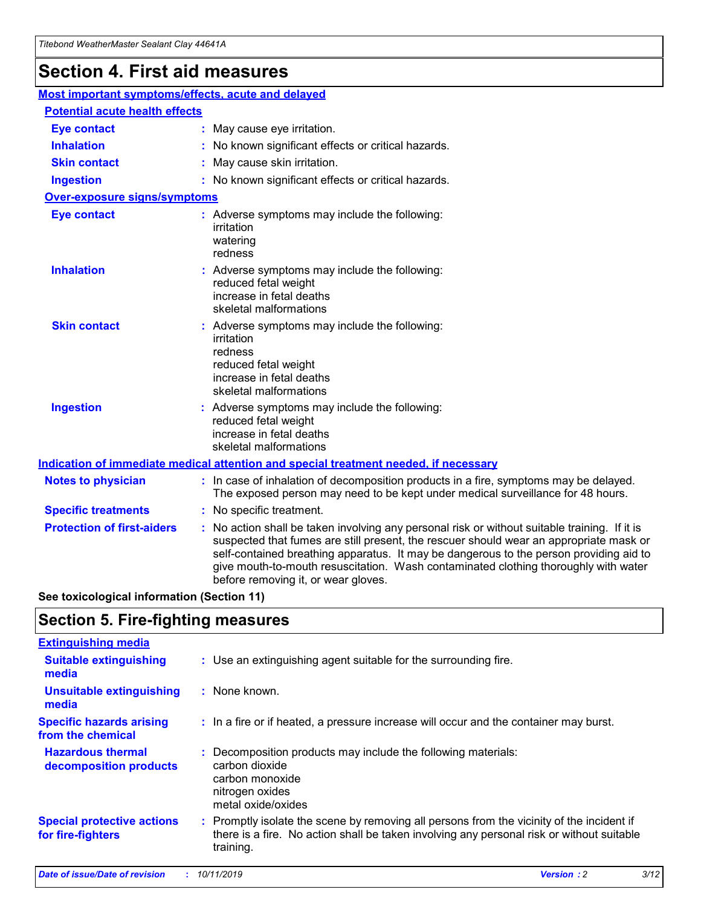## **Section 4. First aid measures**

| Most important symptoms/effects, acute and delayed |                                       |                                                                                                                                                                                                                                                                                                                                                                                                                 |  |  |  |
|----------------------------------------------------|---------------------------------------|-----------------------------------------------------------------------------------------------------------------------------------------------------------------------------------------------------------------------------------------------------------------------------------------------------------------------------------------------------------------------------------------------------------------|--|--|--|
|                                                    | <b>Potential acute health effects</b> |                                                                                                                                                                                                                                                                                                                                                                                                                 |  |  |  |
| <b>Eye contact</b>                                 |                                       | : May cause eye irritation.                                                                                                                                                                                                                                                                                                                                                                                     |  |  |  |
| <b>Inhalation</b>                                  |                                       | : No known significant effects or critical hazards.                                                                                                                                                                                                                                                                                                                                                             |  |  |  |
| <b>Skin contact</b>                                |                                       | : May cause skin irritation.                                                                                                                                                                                                                                                                                                                                                                                    |  |  |  |
| <b>Ingestion</b>                                   |                                       | : No known significant effects or critical hazards.                                                                                                                                                                                                                                                                                                                                                             |  |  |  |
| <b>Over-exposure signs/symptoms</b>                |                                       |                                                                                                                                                                                                                                                                                                                                                                                                                 |  |  |  |
| <b>Eye contact</b>                                 |                                       | : Adverse symptoms may include the following:<br>irritation<br>watering<br>redness                                                                                                                                                                                                                                                                                                                              |  |  |  |
| <b>Inhalation</b>                                  |                                       | : Adverse symptoms may include the following:<br>reduced fetal weight<br>increase in fetal deaths<br>skeletal malformations                                                                                                                                                                                                                                                                                     |  |  |  |
| <b>Skin contact</b>                                |                                       | : Adverse symptoms may include the following:<br>irritation<br>redness<br>reduced fetal weight<br>increase in fetal deaths<br>skeletal malformations                                                                                                                                                                                                                                                            |  |  |  |
| <b>Ingestion</b>                                   |                                       | : Adverse symptoms may include the following:<br>reduced fetal weight<br>increase in fetal deaths<br>skeletal malformations                                                                                                                                                                                                                                                                                     |  |  |  |
|                                                    |                                       | <b>Indication of immediate medical attention and special treatment needed, if necessary</b>                                                                                                                                                                                                                                                                                                                     |  |  |  |
| <b>Notes to physician</b>                          |                                       | : In case of inhalation of decomposition products in a fire, symptoms may be delayed.<br>The exposed person may need to be kept under medical surveillance for 48 hours.                                                                                                                                                                                                                                        |  |  |  |
| <b>Specific treatments</b>                         |                                       | : No specific treatment.                                                                                                                                                                                                                                                                                                                                                                                        |  |  |  |
| <b>Protection of first-aiders</b>                  |                                       | : No action shall be taken involving any personal risk or without suitable training. If it is<br>suspected that fumes are still present, the rescuer should wear an appropriate mask or<br>self-contained breathing apparatus. It may be dangerous to the person providing aid to<br>give mouth-to-mouth resuscitation. Wash contaminated clothing thoroughly with water<br>before removing it, or wear gloves. |  |  |  |

**See toxicological information (Section 11)**

### **Section 5. Fire-fighting measures**

| <b>Extinguishing media</b>                             |                                                                                                                                                                                                     |
|--------------------------------------------------------|-----------------------------------------------------------------------------------------------------------------------------------------------------------------------------------------------------|
| <b>Suitable extinguishing</b><br>media                 | : Use an extinguishing agent suitable for the surrounding fire.                                                                                                                                     |
| <b>Unsuitable extinguishing</b><br>media               | : None known.                                                                                                                                                                                       |
| <b>Specific hazards arising</b><br>from the chemical   | : In a fire or if heated, a pressure increase will occur and the container may burst.                                                                                                               |
| <b>Hazardous thermal</b><br>decomposition products     | : Decomposition products may include the following materials:<br>carbon dioxide<br>carbon monoxide<br>nitrogen oxides<br>metal oxide/oxides                                                         |
| <b>Special protective actions</b><br>for fire-fighters | : Promptly isolate the scene by removing all persons from the vicinity of the incident if<br>there is a fire. No action shall be taken involving any personal risk or without suitable<br>training. |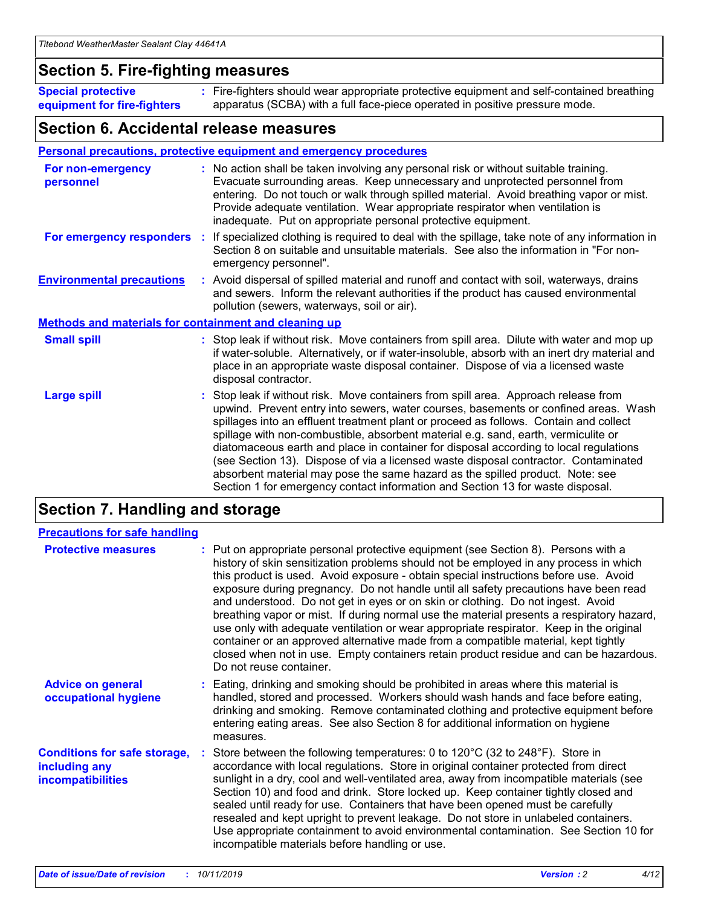### **Section 5. Fire-fighting measures**

**Special protective equipment for fire-fighters** Fire-fighters should wear appropriate protective equipment and self-contained breathing **:** apparatus (SCBA) with a full face-piece operated in positive pressure mode.

### **Section 6. Accidental release measures**

#### **Personal precautions, protective equipment and emergency procedures**

| For non-emergency<br>personnel                               | : No action shall be taken involving any personal risk or without suitable training.<br>Evacuate surrounding areas. Keep unnecessary and unprotected personnel from<br>entering. Do not touch or walk through spilled material. Avoid breathing vapor or mist.<br>Provide adequate ventilation. Wear appropriate respirator when ventilation is<br>inadequate. Put on appropriate personal protective equipment.                                                                                                                                                                                                                                                                                             |
|--------------------------------------------------------------|--------------------------------------------------------------------------------------------------------------------------------------------------------------------------------------------------------------------------------------------------------------------------------------------------------------------------------------------------------------------------------------------------------------------------------------------------------------------------------------------------------------------------------------------------------------------------------------------------------------------------------------------------------------------------------------------------------------|
| For emergency responders                                     | : If specialized clothing is required to deal with the spillage, take note of any information in<br>Section 8 on suitable and unsuitable materials. See also the information in "For non-<br>emergency personnel".                                                                                                                                                                                                                                                                                                                                                                                                                                                                                           |
| <b>Environmental precautions</b>                             | : Avoid dispersal of spilled material and runoff and contact with soil, waterways, drains<br>and sewers. Inform the relevant authorities if the product has caused environmental<br>pollution (sewers, waterways, soil or air).                                                                                                                                                                                                                                                                                                                                                                                                                                                                              |
| <b>Methods and materials for containment and cleaning up</b> |                                                                                                                                                                                                                                                                                                                                                                                                                                                                                                                                                                                                                                                                                                              |
| <b>Small spill</b>                                           | : Stop leak if without risk. Move containers from spill area. Dilute with water and mop up<br>if water-soluble. Alternatively, or if water-insoluble, absorb with an inert dry material and<br>place in an appropriate waste disposal container. Dispose of via a licensed waste<br>disposal contractor.                                                                                                                                                                                                                                                                                                                                                                                                     |
| <b>Large spill</b>                                           | : Stop leak if without risk. Move containers from spill area. Approach release from<br>upwind. Prevent entry into sewers, water courses, basements or confined areas. Wash<br>spillages into an effluent treatment plant or proceed as follows. Contain and collect<br>spillage with non-combustible, absorbent material e.g. sand, earth, vermiculite or<br>diatomaceous earth and place in container for disposal according to local regulations<br>(see Section 13). Dispose of via a licensed waste disposal contractor. Contaminated<br>absorbent material may pose the same hazard as the spilled product. Note: see<br>Section 1 for emergency contact information and Section 13 for waste disposal. |

### **Section 7. Handling and storage**

| <b>Precautions for safe handling</b>                                             |                                                                                                                                                                                                                                                                                                                                                                                                                                                                                                                                                                                                                                                                                                                                                                                                                                                  |
|----------------------------------------------------------------------------------|--------------------------------------------------------------------------------------------------------------------------------------------------------------------------------------------------------------------------------------------------------------------------------------------------------------------------------------------------------------------------------------------------------------------------------------------------------------------------------------------------------------------------------------------------------------------------------------------------------------------------------------------------------------------------------------------------------------------------------------------------------------------------------------------------------------------------------------------------|
| <b>Protective measures</b>                                                       | : Put on appropriate personal protective equipment (see Section 8). Persons with a<br>history of skin sensitization problems should not be employed in any process in which<br>this product is used. Avoid exposure - obtain special instructions before use. Avoid<br>exposure during pregnancy. Do not handle until all safety precautions have been read<br>and understood. Do not get in eyes or on skin or clothing. Do not ingest. Avoid<br>breathing vapor or mist. If during normal use the material presents a respiratory hazard,<br>use only with adequate ventilation or wear appropriate respirator. Keep in the original<br>container or an approved alternative made from a compatible material, kept tightly<br>closed when not in use. Empty containers retain product residue and can be hazardous.<br>Do not reuse container. |
| <b>Advice on general</b><br>occupational hygiene                                 | : Eating, drinking and smoking should be prohibited in areas where this material is<br>handled, stored and processed. Workers should wash hands and face before eating,<br>drinking and smoking. Remove contaminated clothing and protective equipment before<br>entering eating areas. See also Section 8 for additional information on hygiene<br>measures.                                                                                                                                                                                                                                                                                                                                                                                                                                                                                    |
| <b>Conditions for safe storage,</b><br>including any<br><b>incompatibilities</b> | Store between the following temperatures: 0 to 120 $\degree$ C (32 to 248 $\degree$ F). Store in<br>accordance with local regulations. Store in original container protected from direct<br>sunlight in a dry, cool and well-ventilated area, away from incompatible materials (see<br>Section 10) and food and drink. Store locked up. Keep container tightly closed and<br>sealed until ready for use. Containers that have been opened must be carefully<br>resealed and kept upright to prevent leakage. Do not store in unlabeled containers.<br>Use appropriate containment to avoid environmental contamination. See Section 10 for<br>incompatible materials before handling or use.                                                                                                                                                     |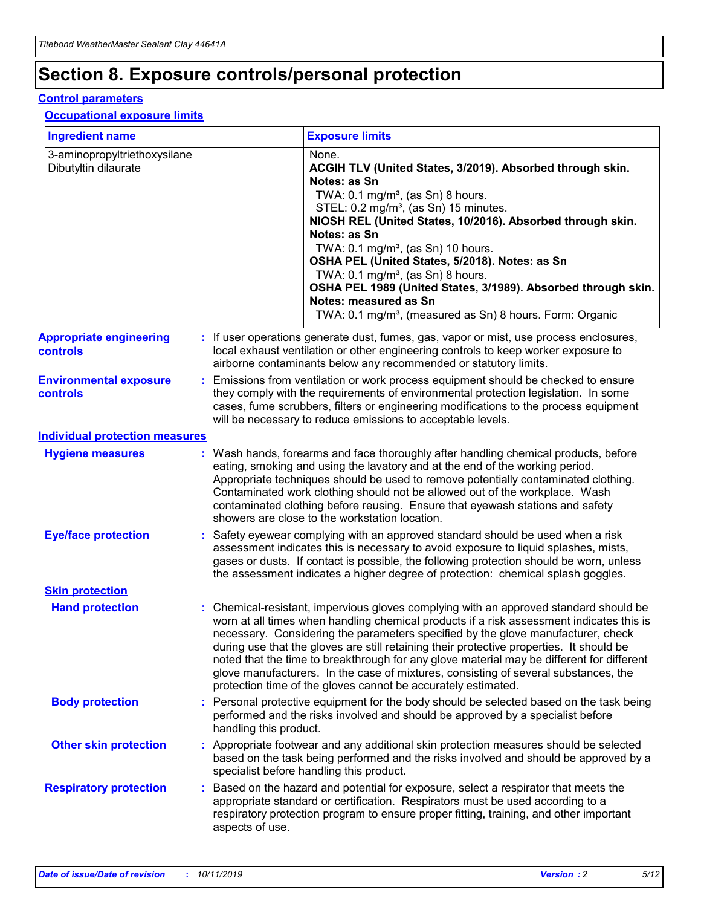## **Section 8. Exposure controls/personal protection**

#### **Control parameters**

#### **Occupational exposure limits**

| <b>Ingredient name</b>                               |    |                        | <b>Exposure limits</b>                                                                                                                                                                                                                                                                                                                                                                                                                                                                                                                                                                                                 |
|------------------------------------------------------|----|------------------------|------------------------------------------------------------------------------------------------------------------------------------------------------------------------------------------------------------------------------------------------------------------------------------------------------------------------------------------------------------------------------------------------------------------------------------------------------------------------------------------------------------------------------------------------------------------------------------------------------------------------|
| 3-aminopropyltriethoxysilane<br>Dibutyltin dilaurate |    |                        | None.<br>ACGIH TLV (United States, 3/2019). Absorbed through skin.<br>Notes: as Sn<br>TWA: $0.1 \text{ mg/m}^3$ , (as Sn) 8 hours.<br>STEL: 0.2 mg/m <sup>3</sup> , (as Sn) 15 minutes.<br>NIOSH REL (United States, 10/2016). Absorbed through skin.<br>Notes: as Sn<br>TWA: 0.1 mg/m <sup>3</sup> , (as Sn) 10 hours.<br>OSHA PEL (United States, 5/2018). Notes: as Sn<br>TWA: 0.1 mg/m <sup>3</sup> , (as Sn) 8 hours.<br>OSHA PEL 1989 (United States, 3/1989). Absorbed through skin.<br>Notes: measured as Sn<br>TWA: 0.1 mg/m <sup>3</sup> , (measured as Sn) 8 hours. Form: Organic                           |
| <b>Appropriate engineering</b><br>controls           |    |                        | : If user operations generate dust, fumes, gas, vapor or mist, use process enclosures,<br>local exhaust ventilation or other engineering controls to keep worker exposure to<br>airborne contaminants below any recommended or statutory limits.                                                                                                                                                                                                                                                                                                                                                                       |
| <b>Environmental exposure</b><br>controls            |    |                        | Emissions from ventilation or work process equipment should be checked to ensure<br>they comply with the requirements of environmental protection legislation. In some<br>cases, fume scrubbers, filters or engineering modifications to the process equipment<br>will be necessary to reduce emissions to acceptable levels.                                                                                                                                                                                                                                                                                          |
| <b>Individual protection measures</b>                |    |                        |                                                                                                                                                                                                                                                                                                                                                                                                                                                                                                                                                                                                                        |
| <b>Hygiene measures</b>                              |    |                        | : Wash hands, forearms and face thoroughly after handling chemical products, before<br>eating, smoking and using the lavatory and at the end of the working period.<br>Appropriate techniques should be used to remove potentially contaminated clothing.<br>Contaminated work clothing should not be allowed out of the workplace. Wash<br>contaminated clothing before reusing. Ensure that eyewash stations and safety<br>showers are close to the workstation location.                                                                                                                                            |
| <b>Eye/face protection</b>                           |    |                        | Safety eyewear complying with an approved standard should be used when a risk<br>assessment indicates this is necessary to avoid exposure to liquid splashes, mists,<br>gases or dusts. If contact is possible, the following protection should be worn, unless<br>the assessment indicates a higher degree of protection: chemical splash goggles.                                                                                                                                                                                                                                                                    |
| <b>Skin protection</b>                               |    |                        |                                                                                                                                                                                                                                                                                                                                                                                                                                                                                                                                                                                                                        |
| <b>Hand protection</b>                               |    |                        | : Chemical-resistant, impervious gloves complying with an approved standard should be<br>worn at all times when handling chemical products if a risk assessment indicates this is<br>necessary. Considering the parameters specified by the glove manufacturer, check<br>during use that the gloves are still retaining their protective properties. It should be<br>noted that the time to breakthrough for any glove material may be different for different<br>glove manufacturers. In the case of mixtures, consisting of several substances, the<br>protection time of the gloves cannot be accurately estimated. |
| <b>Body protection</b>                               |    | handling this product. | Personal protective equipment for the body should be selected based on the task being<br>performed and the risks involved and should be approved by a specialist before                                                                                                                                                                                                                                                                                                                                                                                                                                                |
| <b>Other skin protection</b>                         |    |                        | : Appropriate footwear and any additional skin protection measures should be selected<br>based on the task being performed and the risks involved and should be approved by a<br>specialist before handling this product.                                                                                                                                                                                                                                                                                                                                                                                              |
| <b>Respiratory protection</b>                        | ÷. | aspects of use.        | Based on the hazard and potential for exposure, select a respirator that meets the<br>appropriate standard or certification. Respirators must be used according to a<br>respiratory protection program to ensure proper fitting, training, and other important                                                                                                                                                                                                                                                                                                                                                         |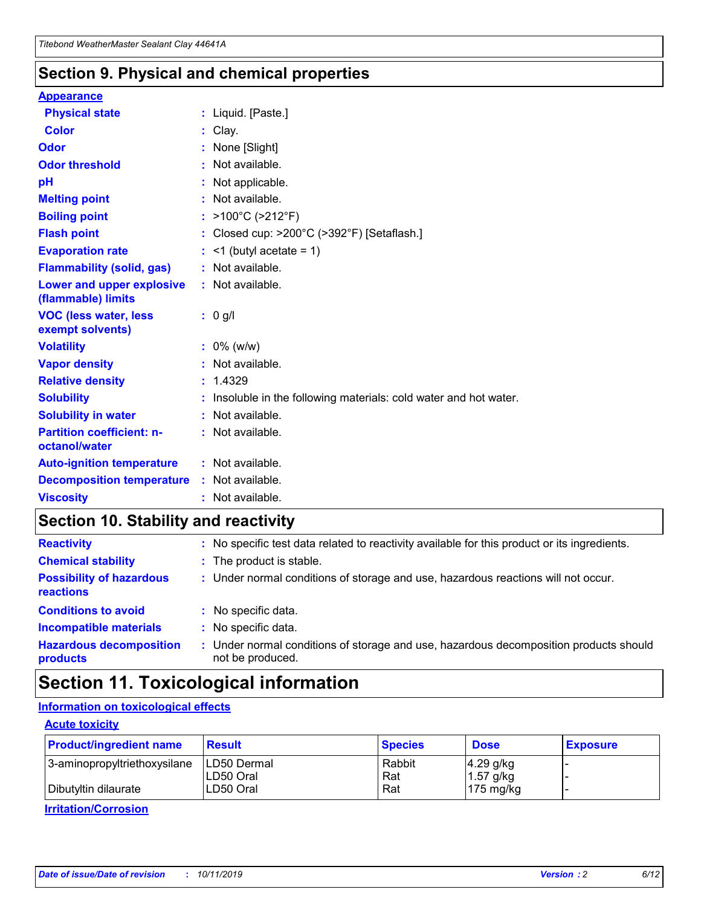### **Section 9. Physical and chemical properties**

#### **Appearance**

| <b>Physical state</b>                             | : Liquid. [Paste.]                                              |
|---------------------------------------------------|-----------------------------------------------------------------|
| <b>Color</b>                                      | Clay.                                                           |
| Odor                                              | : None [Slight]                                                 |
| <b>Odor threshold</b>                             | : Not available.                                                |
| рH                                                | : Not applicable.                                               |
| <b>Melting point</b>                              | : Not available.                                                |
| <b>Boiling point</b>                              | : >100°C (>212°F)                                               |
| <b>Flash point</b>                                | : Closed cup: >200°C (>392°F) [Setaflash.]                      |
| <b>Evaporation rate</b>                           | $:$ <1 (butyl acetate = 1)                                      |
| <b>Flammability (solid, gas)</b>                  | : Not available.                                                |
| Lower and upper explosive<br>(flammable) limits   | : Not available.                                                |
| <b>VOC (less water, less</b><br>exempt solvents)  | : 0 g/l                                                         |
| <b>Volatility</b>                                 | $: 0\%$ (w/w)                                                   |
| <b>Vapor density</b>                              | : Not available.                                                |
| <b>Relative density</b>                           | : 1.4329                                                        |
| <b>Solubility</b>                                 | Insoluble in the following materials: cold water and hot water. |
| <b>Solubility in water</b>                        | : Not available.                                                |
| <b>Partition coefficient: n-</b><br>octanol/water | $:$ Not available.                                              |
| <b>Auto-ignition temperature</b>                  | : Not available.                                                |
| <b>Decomposition temperature</b>                  | : Not available.                                                |
| <b>Viscosity</b>                                  |                                                                 |

### **Section 10. Stability and reactivity**

| <b>Reactivity</b>                            |    | : No specific test data related to reactivity available for this product or its ingredients.            |
|----------------------------------------------|----|---------------------------------------------------------------------------------------------------------|
| <b>Chemical stability</b>                    |    | : The product is stable.                                                                                |
| <b>Possibility of hazardous</b><br>reactions |    | : Under normal conditions of storage and use, hazardous reactions will not occur.                       |
| <b>Conditions to avoid</b>                   |    | : No specific data.                                                                                     |
| <b>Incompatible materials</b>                | ٠. | No specific data.                                                                                       |
| <b>Hazardous decomposition</b><br>products   | ÷. | Under normal conditions of storage and use, hazardous decomposition products should<br>not be produced. |

### **Section 11. Toxicological information**

### **Information on toxicological effects**

#### **Acute toxicity**

| <b>Product/ingredient name</b> | <b>Result</b>           | <b>Species</b> | <b>Dose</b>                | <b>Exposure</b> |
|--------------------------------|-------------------------|----------------|----------------------------|-----------------|
| 3-aminopropyltriethoxysilane   | <b>ILD50 Dermal</b>     | Rabbit         | 4.29 g/kg                  |                 |
| Dibutyltin dilaurate           | ILD50 Oral<br>LD50 Oral | Rat<br>Rat     | $1.57$ g/kg<br>175 $mg/kg$ |                 |
|                                |                         |                |                            |                 |

**Irritation/Corrosion**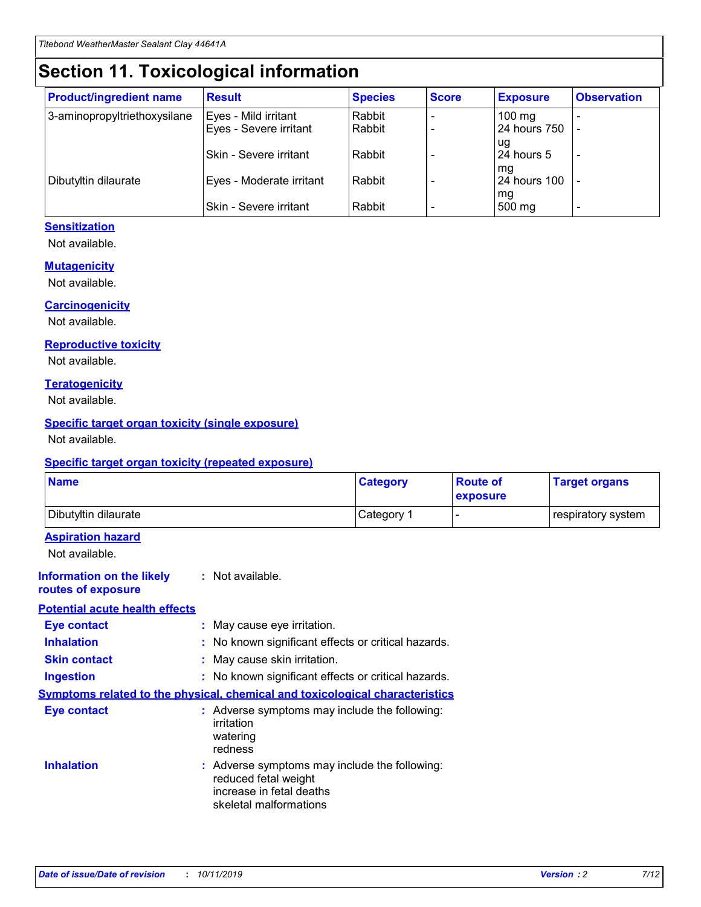## **Section 11. Toxicological information**

| <b>Product/ingredient name</b> | <b>Result</b>            | <b>Species</b> | <b>Score</b> | <b>Exposure</b>     | <b>Observation</b> |
|--------------------------------|--------------------------|----------------|--------------|---------------------|--------------------|
| 3-aminopropyltriethoxysilane   | Eyes - Mild irritant     | Rabbit         |              | $100 \text{ mg}$    |                    |
|                                | Eyes - Severe irritant   | Rabbit         |              | 24 hours 750        |                    |
|                                |                          |                |              | ug                  |                    |
|                                | Skin - Severe irritant   | Rabbit         |              | 24 hours 5          |                    |
|                                |                          |                |              | mq                  |                    |
| Dibutyltin dilaurate           | Eyes - Moderate irritant | Rabbit         |              | <b>24 hours 100</b> |                    |
|                                | Skin - Severe irritant   | Rabbit         |              | mg<br>500 mg        |                    |
|                                |                          |                |              |                     |                    |

#### **Sensitization**

Not available.

#### **Mutagenicity**

Not available.

#### **Carcinogenicity**

Not available.

#### **Reproductive toxicity**

Not available.

#### **Teratogenicity**

Not available.

#### **Specific target organ toxicity (single exposure)**

Not available.

#### **Specific target organ toxicity (repeated exposure)**

| <b>Name</b>                                                                  |                                                                            | <b>Category</b>                                     | <b>Route of</b><br>exposure | <b>Target organs</b> |
|------------------------------------------------------------------------------|----------------------------------------------------------------------------|-----------------------------------------------------|-----------------------------|----------------------|
| Dibutyltin dilaurate                                                         |                                                                            | Category 1                                          | -                           | respiratory system   |
| <b>Aspiration hazard</b><br>Not available.                                   |                                                                            |                                                     |                             |                      |
| <b>Information on the likely</b><br>routes of exposure                       | : Not available.                                                           |                                                     |                             |                      |
| <b>Potential acute health effects</b>                                        |                                                                            |                                                     |                             |                      |
| <b>Eye contact</b>                                                           | : May cause eye irritation.                                                |                                                     |                             |                      |
| <b>Inhalation</b>                                                            |                                                                            | : No known significant effects or critical hazards. |                             |                      |
| <b>Skin contact</b>                                                          | : May cause skin irritation.                                               |                                                     |                             |                      |
| <b>Ingestion</b>                                                             |                                                                            | : No known significant effects or critical hazards. |                             |                      |
| Symptoms related to the physical, chemical and toxicological characteristics |                                                                            |                                                     |                             |                      |
| <b>Eye contact</b>                                                           | irritation<br>watering<br>redness                                          | : Adverse symptoms may include the following:       |                             |                      |
| <b>Inhalation</b>                                                            | reduced fetal weight<br>increase in fetal deaths<br>skeletal malformations | : Adverse symptoms may include the following:       |                             |                      |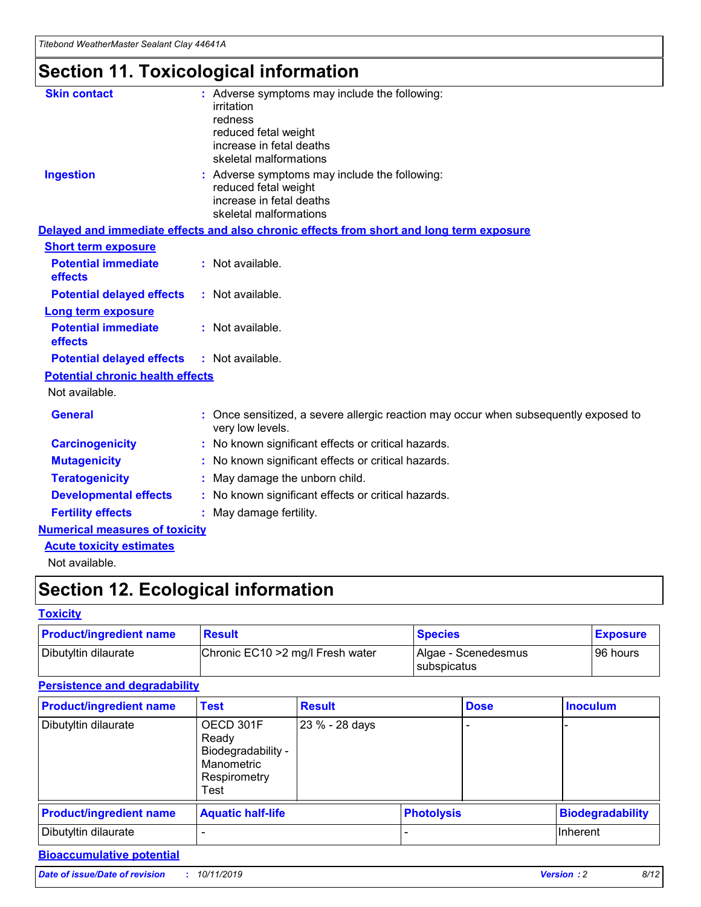## **Section 11. Toxicological information**

| <b>Skin contact</b>                     | : Adverse symptoms may include the following:<br>irritation<br>redness<br>reduced fetal weight<br>increase in fetal deaths<br>skeletal malformations |
|-----------------------------------------|------------------------------------------------------------------------------------------------------------------------------------------------------|
| <b>Ingestion</b>                        | : Adverse symptoms may include the following:<br>reduced fetal weight<br>increase in fetal deaths<br>skeletal malformations                          |
|                                         | Delayed and immediate effects and also chronic effects from short and long term exposure                                                             |
| <b>Short term exposure</b>              |                                                                                                                                                      |
| <b>Potential immediate</b><br>effects   | : Not available.                                                                                                                                     |
| <b>Potential delayed effects</b>        | : Not available.                                                                                                                                     |
| <b>Long term exposure</b>               |                                                                                                                                                      |
| <b>Potential immediate</b><br>effects   | : Not available.                                                                                                                                     |
| <b>Potential delayed effects</b>        | : Not available.                                                                                                                                     |
| <b>Potential chronic health effects</b> |                                                                                                                                                      |
| Not available.                          |                                                                                                                                                      |
| <b>General</b>                          | : Once sensitized, a severe allergic reaction may occur when subsequently exposed to<br>very low levels.                                             |
| <b>Carcinogenicity</b>                  | : No known significant effects or critical hazards.                                                                                                  |
| <b>Mutagenicity</b>                     | No known significant effects or critical hazards.                                                                                                    |
| <b>Teratogenicity</b>                   | May damage the unborn child.                                                                                                                         |
| <b>Developmental effects</b>            | No known significant effects or critical hazards.                                                                                                    |
| <b>Fertility effects</b>                | : May damage fertility.                                                                                                                              |
| <b>Numerical measures of toxicity</b>   |                                                                                                                                                      |
| <b>Acute toxicity estimates</b>         |                                                                                                                                                      |
|                                         |                                                                                                                                                      |

Not available.

## **Section 12. Ecological information**

#### **Toxicity**

| <b>Product/ingredient name</b> | <b>Result</b>                     | <b>Species</b>                       | <b>Exposure</b> |
|--------------------------------|-----------------------------------|--------------------------------------|-----------------|
| Dibutyltin dilaurate           | Chronic EC10 > 2 mg/l Fresh water | Algae - Scenedesmus<br>I subspicatus | l 96 hours      |

### **Persistence and degradability**

| <b>Product/ingredient name</b> | <b>Test</b>                                                                    | <b>Result</b>  |                   | <b>Dose</b> | <b>Inoculum</b>         |
|--------------------------------|--------------------------------------------------------------------------------|----------------|-------------------|-------------|-------------------------|
| Dibutyltin dilaurate           | OECD 301F<br>Ready<br>Biodegradability -<br>Manometric<br>Respirometry<br>Test | 23 % - 28 days |                   |             |                         |
| <b>Product/ingredient name</b> | <b>Aquatic half-life</b>                                                       |                | <b>Photolysis</b> |             | <b>Biodegradability</b> |
| Dibutyltin dilaurate           |                                                                                |                |                   |             | Inherent                |

### **Bioaccumulative potential**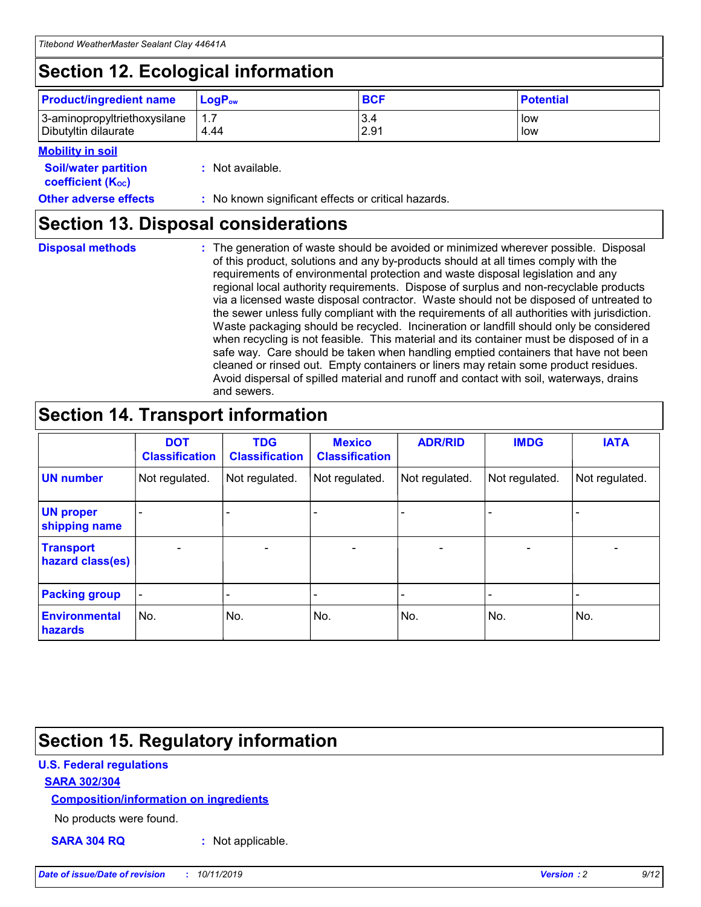## **Section 12. Ecological information**

| <b>Product/ingredient name</b> | ∣LoqP <sub>ow</sub> | <b>BCF</b> | <b>Potential</b> |
|--------------------------------|---------------------|------------|------------------|
| 3-aminopropyltriethoxysilane   | 1.1                 | 3.4        | low              |
| Dibutyltin dilaurate           | 4.44                | 2.91       | low              |

#### **Mobility in soil**

| --- <i>------</i> -----                                       |                                                     |
|---------------------------------------------------------------|-----------------------------------------------------|
| <b>Soil/water partition</b><br>coefficient (K <sub>oc</sub> ) | : Not available.                                    |
| <b>Other adverse effects</b>                                  | : No known significant effects or critical hazards. |

### **Section 13. Disposal considerations**

|  | <b>Disposal methods</b> |  |
|--|-------------------------|--|

**Disposal methods** : The generation of waste should be avoided or minimized wherever possible. Disposal of this product, solutions and any by-products should at all times comply with the requirements of environmental protection and waste disposal legislation and any regional local authority requirements. Dispose of surplus and non-recyclable products via a licensed waste disposal contractor. Waste should not be disposed of untreated to the sewer unless fully compliant with the requirements of all authorities with jurisdiction. Waste packaging should be recycled. Incineration or landfill should only be considered when recycling is not feasible. This material and its container must be disposed of in a safe way. Care should be taken when handling emptied containers that have not been cleaned or rinsed out. Empty containers or liners may retain some product residues. Avoid dispersal of spilled material and runoff and contact with soil, waterways, drains and sewers.

## **Section 14. Transport information**

|                                        | <b>DOT</b><br><b>Classification</b> | <b>TDG</b><br><b>Classification</b> | <b>Mexico</b><br><b>Classification</b> | <b>ADR/RID</b>           | <b>IMDG</b>              | <b>IATA</b>    |
|----------------------------------------|-------------------------------------|-------------------------------------|----------------------------------------|--------------------------|--------------------------|----------------|
| <b>UN number</b>                       | Not regulated.                      | Not regulated.                      | Not regulated.                         | Not regulated.           | Not regulated.           | Not regulated. |
| <b>UN proper</b><br>shipping name      |                                     |                                     |                                        |                          |                          |                |
| <b>Transport</b><br>hazard class(es)   | $\qquad \qquad \blacksquare$        | $\qquad \qquad \blacksquare$        | $\overline{\phantom{a}}$               | $\overline{\phantom{a}}$ | $\overline{\phantom{a}}$ | $\blacksquare$ |
| <b>Packing group</b>                   | $\overline{\phantom{a}}$            |                                     |                                        |                          | $\overline{\phantom{0}}$ |                |
| <b>Environmental</b><br><b>hazards</b> | No.                                 | No.                                 | No.                                    | No.                      | No.                      | No.            |

## **Section 15. Regulatory information**

#### **U.S. Federal regulations**

#### **SARA 302/304**

#### **Composition/information on ingredients**

No products were found.

**SARA 304 RQ :** Not applicable.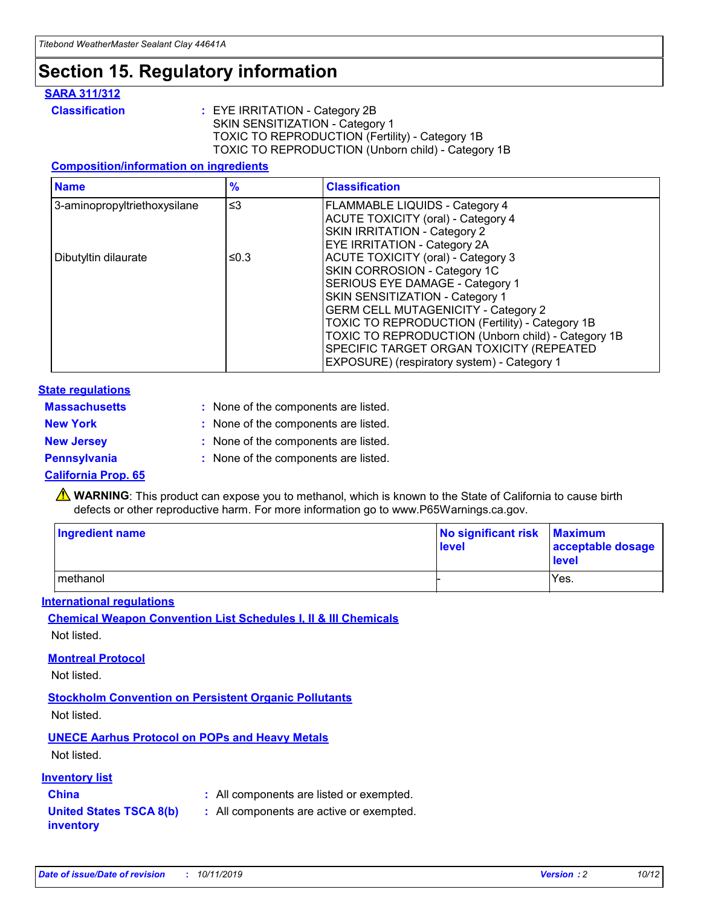## **Section 15. Regulatory information**

#### **SARA 311/312**

**Classification :** EYE IRRITATION - Category 2B SKIN SENSITIZATION - Category 1 TOXIC TO REPRODUCTION (Fertility) - Category 1B TOXIC TO REPRODUCTION (Unborn child) - Category 1B

#### **Composition/information on ingredients**

| <b>Name</b>                  | $\frac{9}{6}$ | <b>Classification</b>                                                                                            |
|------------------------------|---------------|------------------------------------------------------------------------------------------------------------------|
| 3-aminopropyltriethoxysilane | $\leq$ 3      | <b>FLAMMABLE LIQUIDS - Category 4</b><br><b>ACUTE TOXICITY (oral) - Category 4</b>                               |
|                              |               | SKIN IRRITATION - Category 2<br>EYE IRRITATION - Category 2A                                                     |
| Dibutyltin dilaurate         | ≤0.3          | ACUTE TOXICITY (oral) - Category 3<br>SKIN CORROSION - Category 1C                                               |
|                              |               | SERIOUS EYE DAMAGE - Category 1<br>SKIN SENSITIZATION - Category 1<br><b>GERM CELL MUTAGENICITY - Category 2</b> |
|                              |               | TOXIC TO REPRODUCTION (Fertility) - Category 1B<br>TOXIC TO REPRODUCTION (Unborn child) - Category 1B            |
|                              |               | SPECIFIC TARGET ORGAN TOXICITY (REPEATED<br>EXPOSURE) (respiratory system) - Category 1                          |

#### **State regulations**

| <b>Massachusetts</b> | : None of the components are listed. |
|----------------------|--------------------------------------|
| <b>New York</b>      | : None of the components are listed. |
| <b>New Jersey</b>    | : None of the components are listed. |
| <b>Pennsylvania</b>  | : None of the components are listed. |

#### **California Prop. 65**

**A** WARNING: This product can expose you to methanol, which is known to the State of California to cause birth defects or other reproductive harm. For more information go to www.P65Warnings.ca.gov.

| <b>Ingredient name</b> | No significant risk Maximum<br>level | acceptable dosage<br>level |
|------------------------|--------------------------------------|----------------------------|
| methanol               |                                      | Yes.                       |

#### **International regulations**

**Chemical Weapon Convention List Schedules I, II & III Chemicals** Not listed.

#### **Montreal Protocol**

Not listed.

**Stockholm Convention on Persistent Organic Pollutants**

Not listed.

### **UNECE Aarhus Protocol on POPs and Heavy Metals**

Not listed.

#### **Inventory list**

### **China :** All components are listed or exempted.

**United States TSCA 8(b) inventory :** All components are active or exempted.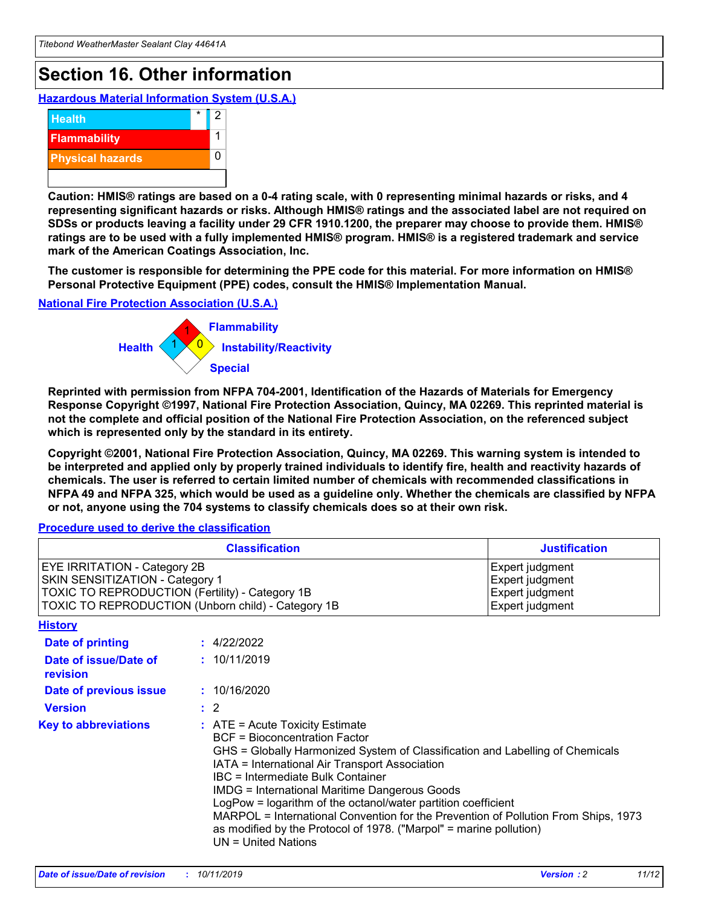## **Section 16. Other information**

**Hazardous Material Information System (U.S.A.)**



**Caution: HMIS® ratings are based on a 0-4 rating scale, with 0 representing minimal hazards or risks, and 4 representing significant hazards or risks. Although HMIS® ratings and the associated label are not required on SDSs or products leaving a facility under 29 CFR 1910.1200, the preparer may choose to provide them. HMIS® ratings are to be used with a fully implemented HMIS® program. HMIS® is a registered trademark and service mark of the American Coatings Association, Inc.**

**The customer is responsible for determining the PPE code for this material. For more information on HMIS® Personal Protective Equipment (PPE) codes, consult the HMIS® Implementation Manual.**

#### **National Fire Protection Association (U.S.A.)**



**Reprinted with permission from NFPA 704-2001, Identification of the Hazards of Materials for Emergency Response Copyright ©1997, National Fire Protection Association, Quincy, MA 02269. This reprinted material is not the complete and official position of the National Fire Protection Association, on the referenced subject which is represented only by the standard in its entirety.**

**Copyright ©2001, National Fire Protection Association, Quincy, MA 02269. This warning system is intended to be interpreted and applied only by properly trained individuals to identify fire, health and reactivity hazards of chemicals. The user is referred to certain limited number of chemicals with recommended classifications in NFPA 49 and NFPA 325, which would be used as a guideline only. Whether the chemicals are classified by NFPA or not, anyone using the 704 systems to classify chemicals does so at their own risk.**

#### **Procedure used to derive the classification**

|                                                                                                                                  | <b>Classification</b>                                                                                                                                                                                                                                                                                                                                                                                                                                                                                                                                                           | <b>Justification</b>                                                     |
|----------------------------------------------------------------------------------------------------------------------------------|---------------------------------------------------------------------------------------------------------------------------------------------------------------------------------------------------------------------------------------------------------------------------------------------------------------------------------------------------------------------------------------------------------------------------------------------------------------------------------------------------------------------------------------------------------------------------------|--------------------------------------------------------------------------|
| <b>EYE IRRITATION - Category 2B</b><br>SKIN SENSITIZATION - Category 1<br><b>TOXIC TO REPRODUCTION (Fertility) - Category 1B</b> | TOXIC TO REPRODUCTION (Unborn child) - Category 1B                                                                                                                                                                                                                                                                                                                                                                                                                                                                                                                              | Expert judgment<br>Expert judgment<br>Expert judgment<br>Expert judgment |
| <b>History</b>                                                                                                                   |                                                                                                                                                                                                                                                                                                                                                                                                                                                                                                                                                                                 |                                                                          |
| Date of printing                                                                                                                 | : 4/22/2022                                                                                                                                                                                                                                                                                                                                                                                                                                                                                                                                                                     |                                                                          |
| Date of issue/Date of<br>revision                                                                                                | : 10/11/2019                                                                                                                                                                                                                                                                                                                                                                                                                                                                                                                                                                    |                                                                          |
| Date of previous issue                                                                                                           | : 10/16/2020                                                                                                                                                                                                                                                                                                                                                                                                                                                                                                                                                                    |                                                                          |
| <b>Version</b>                                                                                                                   | $\therefore$ 2                                                                                                                                                                                                                                                                                                                                                                                                                                                                                                                                                                  |                                                                          |
| <b>Key to abbreviations</b>                                                                                                      | $\therefore$ ATE = Acute Toxicity Estimate<br><b>BCF</b> = Bioconcentration Factor<br>GHS = Globally Harmonized System of Classification and Labelling of Chemicals<br>IATA = International Air Transport Association<br><b>IBC</b> = Intermediate Bulk Container<br><b>IMDG = International Maritime Dangerous Goods</b><br>LogPow = logarithm of the octanol/water partition coefficient<br>MARPOL = International Convention for the Prevention of Pollution From Ships, 1973<br>as modified by the Protocol of 1978. ("Marpol" = marine pollution)<br>$UN = United Nations$ |                                                                          |